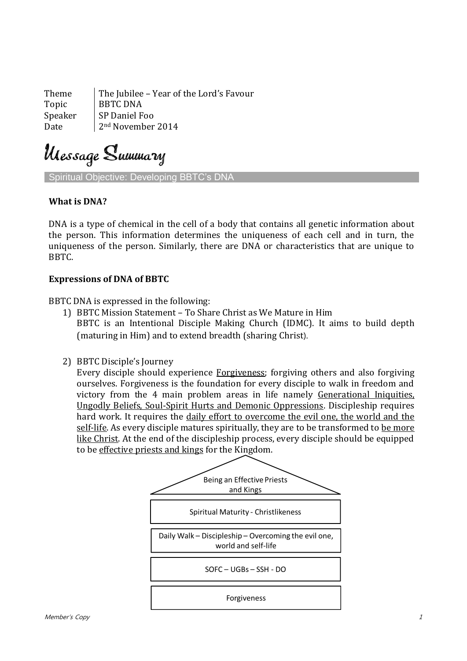Theme The Jubilee – Year of the Lord's Favour Topic | BBTC DNA Speaker | SP Daniel Foo Date 2nd November 2014

Ulessage Summary

Spiritual Objective: Developing BBTC's DNA

## **What is DNA?**

DNA is a type of chemical in the cell of a body that contains all genetic information about the person. This information determines the uniqueness of each cell and in turn, the uniqueness of the person. Similarly, there are DNA or characteristics that are unique to BBTC.

## **Expressions of DNA of BBTC**

BBTC DNA is expressed in the following:

- 1) BBTC Mission Statement To Share Christ as We Mature in Him BBTC is an Intentional Disciple Making Church (IDMC). It aims to build depth (maturing in Him) and to extend breadth (sharing Christ).
- 2) BBTC Disciple's Journey

Every disciple should experience Forgiveness; forgiving others and also forgiving ourselves. Forgiveness is the foundation for every disciple to walk in freedom and victory from the 4 main problem areas in life namely Generational Iniquities, Ungodly Beliefs, Soul-Spirit Hurts and Demonic Oppressions. Discipleship requires hard work. It requires the daily effort to overcome the evil one, the world and the self-life. As every disciple matures spiritually, they are to be transformed to be more like Christ. At the end of the discipleship process, every disciple should be equipped to be effective priests and kings for the Kingdom.

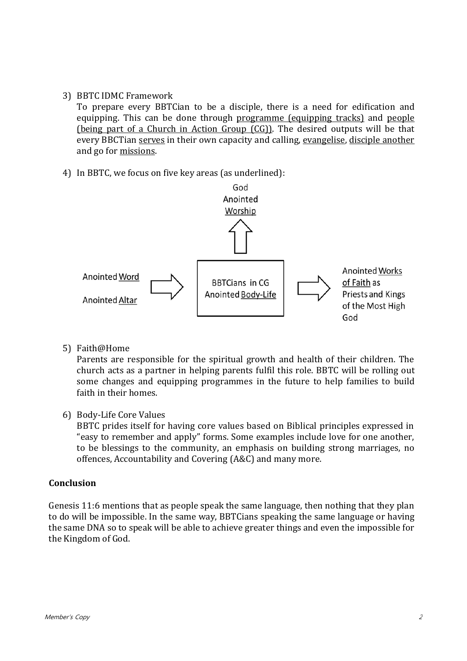## 3) BBTC IDMC Framework

To prepare every BBTCian to be a disciple, there is a need for edification and equipping. This can be done through programme (equipping tracks) and people (being part of a Church in Action Group (CG)). The desired outputs will be that every BBCTian serves in their own capacity and calling, evangelise, disciple another and go for missions.

4) In BBTC, we focus on five key areas (as underlined):



5) Faith@Home

Parents are responsible for the spiritual growth and health of their children. The church acts as a partner in helping parents fulfil this role. BBTC will be rolling out some changes and equipping programmes in the future to help families to build faith in their homes.

6) Body-Life Core Values

BBTC prides itself for having core values based on Biblical principles expressed in "easy to remember and apply" forms. Some examples include love for one another, to be blessings to the community, an emphasis on building strong marriages, no offences, Accountability and Covering (A&C) and many more.

## **Conclusion**

Genesis 11:6 mentions that as people speak the same language, then nothing that they plan to do will be impossible. In the same way, BBTCians speaking the same language or having the same DNA so to speak will be able to achieve greater things and even the impossible for the Kingdom of God.